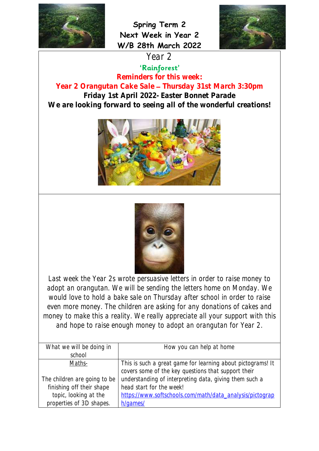

**Spring Term 2 Next Week in Year 2 W/B 28th March 2022**



Year 2<br>'Rainforest'

**Reminders for this week:**

**Year 2 Orangutan Cake Sale Thursday 31st March 3:30pm Friday 1st April 2022- Easter Bonnet Parade We are looking forward to seeing all of the wonderful creations!**





Last week the Year 2s wrote persuasive letters in order to raise money to adopt an orangutan. We will be sending the letters home on Monday. We would love to hold a bake sale on Thursday after school in order to raise even more money. The children are asking for any donations of cakes and money to make this a reality. We really appreciate all your support with this and hope to raise enough money to adopt an orangutan for Year 2.

| What we will be doing in     | How you can help at home                                    |  |  |  |
|------------------------------|-------------------------------------------------------------|--|--|--|
| school                       |                                                             |  |  |  |
| Maths-                       | This is such a great game for learning about pictograms! It |  |  |  |
|                              | covers some of the key questions that support their         |  |  |  |
| The children are going to be | understanding of interpreting data, giving them such a      |  |  |  |
| finishing off their shape    | head start for the week!                                    |  |  |  |
| topic, looking at the        | https://www.softschools.com/math/data_analysis/pictograp    |  |  |  |
| properties of 3D shapes.     | h/games/                                                    |  |  |  |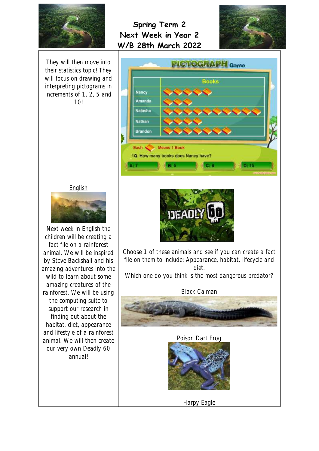



They will then move into their statistics topic! They will focus on drawing and interpreting pictograms in increments of 1, 2, 5 and 10!



**English** 



Next week in English the children will be creating a fact file on a rainforest animal. We will be inspired by Steve Backshall and his amazing adventures into the wild to learn about some amazing creatures of the rainforest. We will be using the computing suite to support our research in finding out about the habitat, diet, appearance and lifestyle of a rainforest animal. We will then create our very own Deadly 60 annual!



Choose 1 of these animals and see if you can create a fact file on them to include: Appearance, habitat, lifecycle and diet.

Which one do you think is the most dangerous predator?

Black Caiman



Poison Dart Frog



Harpy Eagle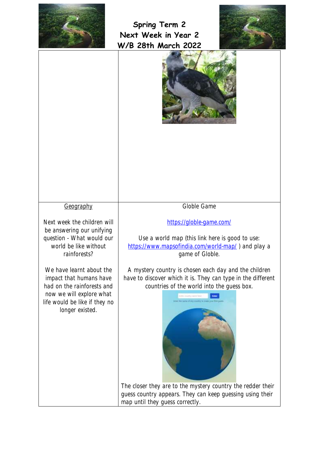





Geography

Next week the children will be answering our unifying question - What would our world be like without rainforests?

We have learnt about the impact that humans have had on the rainforests and now we will explore what life would be like if they no longer existed.

Globle Game

<https://globle-game.com/>

Use a world map (this link here is good to use: <https://www.mapsofindia.com/world-map/>) and play a game of Globle.

A mystery country is chosen each day and the children have to discover which it is. They can type in the different countries of the world into the guess box.



The closer they are to the mystery country the redder their guess country appears. They can keep guessing using their map until they guess correctly.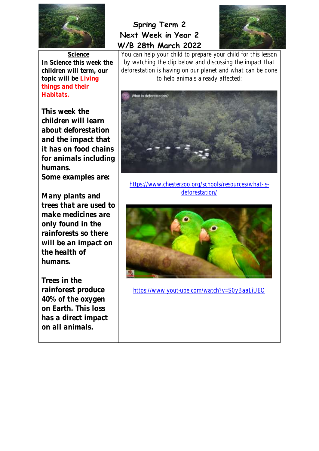

**Science In Science this week the children will term, our topic will be Living things and their Habitats.** 

**This week the children will learn about deforestation and the impact that it has on food chains for animals including humans.** 

**Some examples are:** 

**Many plants and trees that are used to make medicines are only found in the rainforests so there will be an impact on the health of humans.** 

**Trees in the rainforest produce 40% of the oxygen on Earth. This loss has a direct impact on all animals.** 

## **Spring Term 2 Next Week in Year 2 W/B 28th March 2022**



You can help your child to prepare your child for this lesson by watching the clip below and discussing the impact that deforestation is having on our planet and what can be done to help animals already affected:



[https://www.chesterzoo.org/schools/resources/what-is](https://www.chesterzoo.org/schools/resources/what-is-deforestation/)[deforestation/](https://www.chesterzoo.org/schools/resources/what-is-deforestation/)



<https://www.yout-ube.com/watch?v=S0yBaaLiUEQ>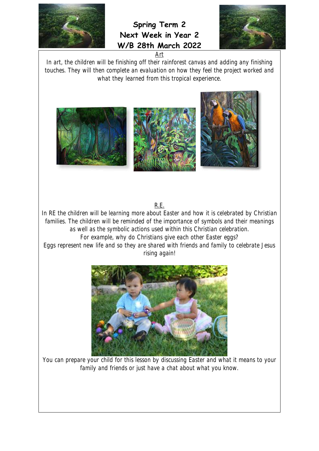

**Spring Term 2 Next Week in Year 2 W/B 28th March 2022**



In art, the children will be finishing off their rainforest canvas and adding any finishing touches. They will then complete an evaluation on how they feel the project worked and what they learned from this tropical experience.

Art



R.E.

In RE the children will be learning more about Easter and how it is celebrated by Christian families. The children will be reminded of the importance of symbols and their meanings as well as the symbolic actions used within this Christian celebration. For example, why do Christians give each other Easter eggs? Eggs represent new life and so they are shared with friends and family to celebrate Jesus rising again!



You can prepare your child for this lesson by discussing Easter and what it means to your family and friends or just have a chat about what you know.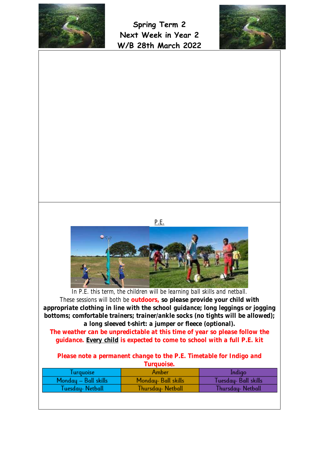





| Turquoise            | Amber               | Indigo              |
|----------------------|---------------------|---------------------|
| Monday - Ball skills | Monday- Ball skills | Tuesday-Ball skills |
| Tuesday- Netball     | Thursday- Netball   | Thursday- Netball   |
|                      |                     |                     |
|                      |                     |                     |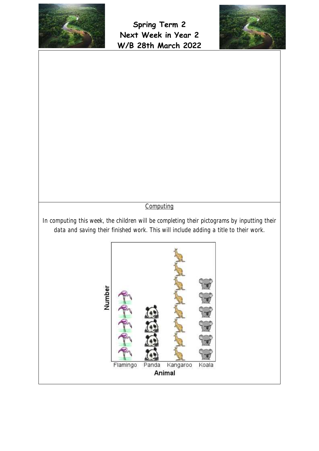



## **Computing**

In computing this week, the children will be completing their pictograms by inputting their data and saving their finished work. This will include adding a title to their work.

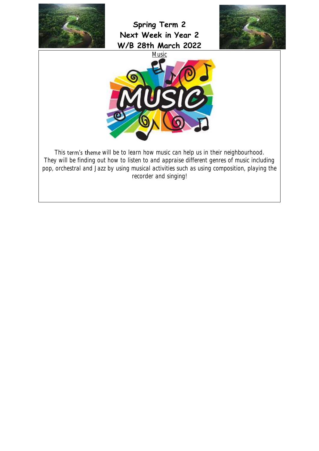

**Spring Term 2 Next Week in Year 2 W/B 28th March 2022**





This term's theme will be to learn how music can help us in their neighbourhood. They will be finding out how to listen to and appraise different genres of music including pop, orchestral and Jazz by using musical activities such as using composition, playing the recorder and singing!